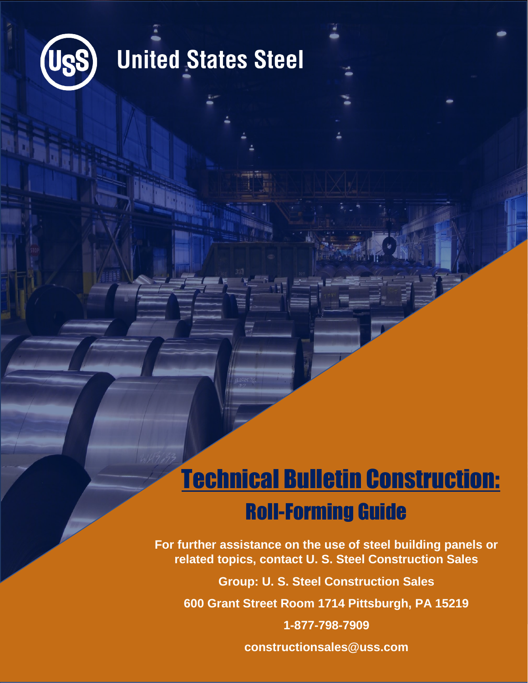

## **United States Steel**

## Technical Bulletin Construction: Roll-Forming Guide

**For further assistance on the use of steel building panels or related topics, contact U. S. Steel Construction Sales**

**Group: U. S. Steel Construction Sales**

**600 Grant Street Room 1714 Pittsburgh, PA 15219**

**1-877-798-7909 constructionsales@uss.com**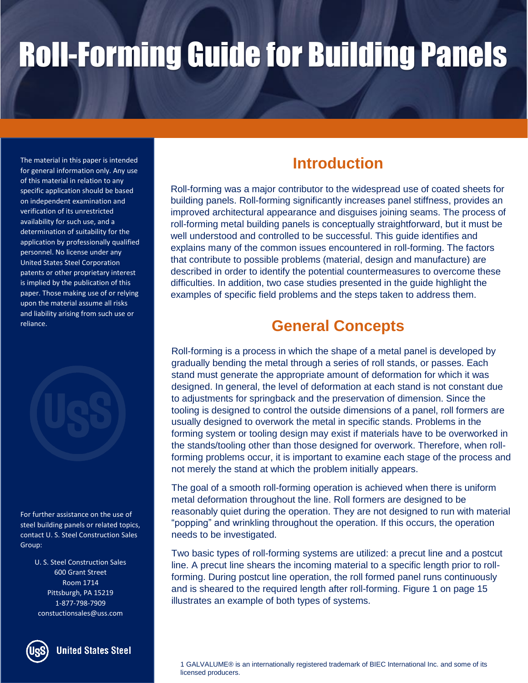The material in this paper is intended for general information only. Any use of this material in relation to any specific application should be based on independent examination and verification of its unrestricted availability for such use, and a determination of suitability for the application by professionally qualified personnel. No license under any United States Steel Corporation patents or other proprietary interest is implied by the publication of this paper. Those making use of or relying upon the material assume all risks and liability arising from such use or reliance.



For further assistance on the use of steel building panels or related topics, contact U. S. Steel Construction Sales Group:

> U. S. Steel Construction Sales 600 Grant Street Room 1714 Pittsburgh, PA 15219 1-877-798-7909 constuctionsales@uss.com



**United States Steel** 

## **Introduction**

Roll-forming was a major contributor to the widespread use of coated sheets for building panels. Roll-forming significantly increases panel stiffness, provides an improved architectural appearance and disguises joining seams. The process of roll-forming metal building panels is conceptually straightforward, but it must be well understood and controlled to be successful. This guide identifies and explains many of the common issues encountered in roll-forming. The factors that contribute to possible problems (material, design and manufacture) are described in order to identify the potential countermeasures to overcome these difficulties. In addition, two case studies presented in the guide highlight the examples of specific field problems and the steps taken to address them.

### **General Concepts**

Roll-forming is a process in which the shape of a metal panel is developed by gradually bending the metal through a series of roll stands, or passes. Each stand must generate the appropriate amount of deformation for which it was designed. In general, the level of deformation at each stand is not constant due to adjustments for springback and the preservation of dimension. Since the tooling is designed to control the outside dimensions of a panel, roll formers are usually designed to overwork the metal in specific stands. Problems in the forming system or tooling design may exist if materials have to be overworked in the stands/tooling other than those designed for overwork. Therefore, when rollforming problems occur, it is important to examine each stage of the process and not merely the stand at which the problem initially appears.

The goal of a smooth roll-forming operation is achieved when there is uniform metal deformation throughout the line. Roll formers are designed to be reasonably quiet during the operation. They are not designed to run with material "popping" and wrinkling throughout the operation. If this occurs, the operation needs to be investigated.

Two basic types of roll-forming systems are utilized: a precut line and a postcut line. A precut line shears the incoming material to a specific length prior to rollforming. During postcut line operation, the roll formed panel runs continuously and is sheared to the required length after roll-forming. Figure 1 on page 15 illustrates an example of both types of systems.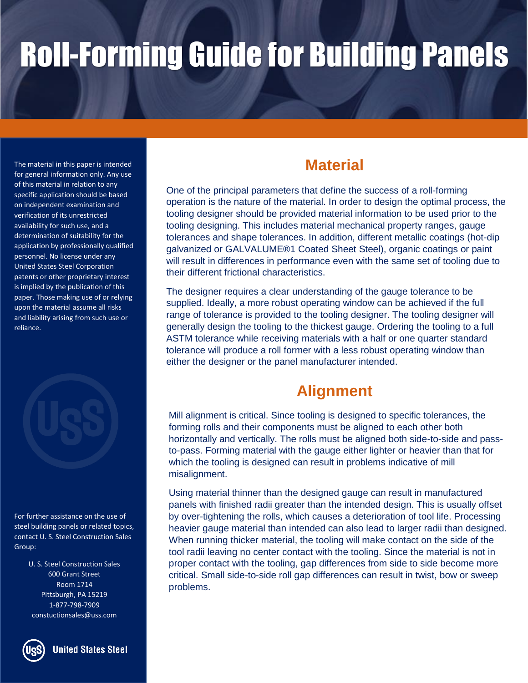The material in this paper is intended **the contract of the material Material** for general information only. Any use of this material in relation to any specific application should be based on independent examination and verification of its unrestricted availability for such use, and a determination of suitability for the application by professionally qualified personnel. No license under any United States Steel Corporation patents or other proprietary interest is implied by the publication of this paper. Those making use of or relying upon the material assume all risks and liability arising from such use or reliance.



For further assistance on the use of steel building panels or related topics, contact U. S. Steel Construction Sales Group:

> U. S. Steel Construction Sales 600 Grant Street Room 1714 Pittsburgh, PA 15219 1-877-798-7909 constuctionsales@uss.com



One of the principal parameters that define the success of a roll-forming operation is the nature of the material. In order to design the optimal process, the tooling designer should be provided material information to be used prior to the tooling designing. This includes material mechanical property ranges, gauge tolerances and shape tolerances. In addition, different metallic coatings (hot-dip galvanized or GALVALUME®1 Coated Sheet Steel), organic coatings or paint will result in differences in performance even with the same set of tooling due to their different frictional characteristics.

The designer requires a clear understanding of the gauge tolerance to be supplied. Ideally, a more robust operating window can be achieved if the full range of tolerance is provided to the tooling designer. The tooling designer will generally design the tooling to the thickest gauge. Ordering the tooling to a full ASTM tolerance while receiving materials with a half or one quarter standard tolerance will produce a roll former with a less robust operating window than either the designer or the panel manufacturer intended.

### **Alignment**

Mill alignment is critical. Since tooling is designed to specific tolerances, the forming rolls and their components must be aligned to each other both horizontally and vertically. The rolls must be aligned both side-to-side and passto-pass. Forming material with the gauge either lighter or heavier than that for which the tooling is designed can result in problems indicative of mill misalignment.

Using material thinner than the designed gauge can result in manufactured panels with finished radii greater than the intended design. This is usually offset by over-tightening the rolls, which causes a deterioration of tool life. Processing heavier gauge material than intended can also lead to larger radii than designed. When running thicker material, the tooling will make contact on the side of the tool radii leaving no center contact with the tooling. Since the material is not in proper contact with the tooling, gap differences from side to side become more critical. Small side-to-side roll gap differences can result in twist, bow or sweep problems.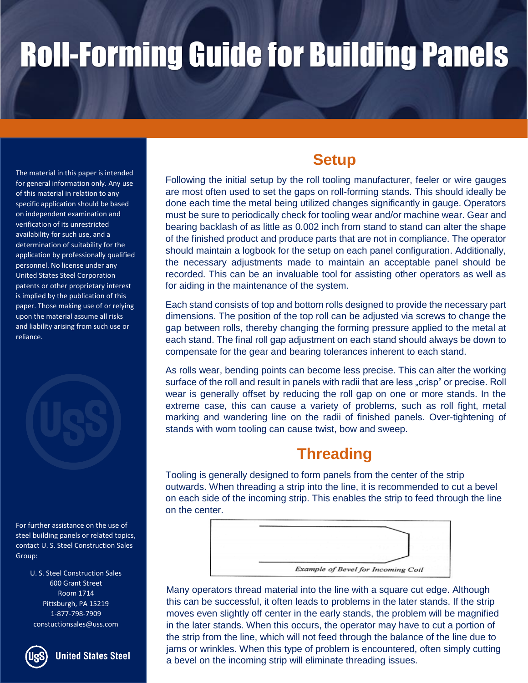The material in this paper is intended for general information only. Any use of this material in relation to any specific application should be based on independent examination and verification of its unrestricted availability for such use, and a determination of suitability for the application by professionally qualified personnel. No license under any United States Steel Corporation patents or other proprietary interest is implied by the publication of this paper. Those making use of or relying upon the material assume all risks and liability arising from such use or reliance.

For further assistance on the use of steel building panels or related topics, contact U. S. Steel Construction Sales Group:

> U. S. Steel Construction Sales 600 Grant Street Room 1714 Pittsburgh, PA 15219 1-877-798-7909 constuctionsales@uss.com



**United States Steel** 

### **Setup**

Following the initial setup by the roll tooling manufacturer, feeler or wire gauges are most often used to set the gaps on roll-forming stands. This should ideally be done each time the metal being utilized changes significantly in gauge. Operators must be sure to periodically check for tooling wear and/or machine wear. Gear and bearing backlash of as little as 0.002 inch from stand to stand can alter the shape of the finished product and produce parts that are not in compliance. The operator should maintain a logbook for the setup on each panel configuration. Additionally, the necessary adjustments made to maintain an acceptable panel should be recorded. This can be an invaluable tool for assisting other operators as well as for aiding in the maintenance of the system.

Each stand consists of top and bottom rolls designed to provide the necessary part dimensions. The position of the top roll can be adjusted via screws to change the gap between rolls, thereby changing the forming pressure applied to the metal at each stand. The final roll gap adjustment on each stand should always be down to compensate for the gear and bearing tolerances inherent to each stand.

As rolls wear, bending points can become less precise. This can alter the working surface of the roll and result in panels with radii that are less "crisp" or precise. Roll wear is generally offset by reducing the roll gap on one or more stands. In the extreme case, this can cause a variety of problems, such as roll fight, metal marking and wandering line on the radii of finished panels. Over-tightening of stands with worn tooling can cause twist, bow and sweep.

### **Threading**

Tooling is generally designed to form panels from the center of the strip outwards. When threading a strip into the line, it is recommended to cut a bevel on each side of the incoming strip. This enables the strip to feed through the line on the center.



Many operators thread material into the line with a square cut edge. Although this can be successful, it often leads to problems in the later stands. If the strip moves even slightly off center in the early stands, the problem will be magnified in the later stands. When this occurs, the operator may have to cut a portion of the strip from the line, which will not feed through the balance of the line due to jams or wrinkles. When this type of problem is encountered, often simply cutting a bevel on the incoming strip will eliminate threading issues.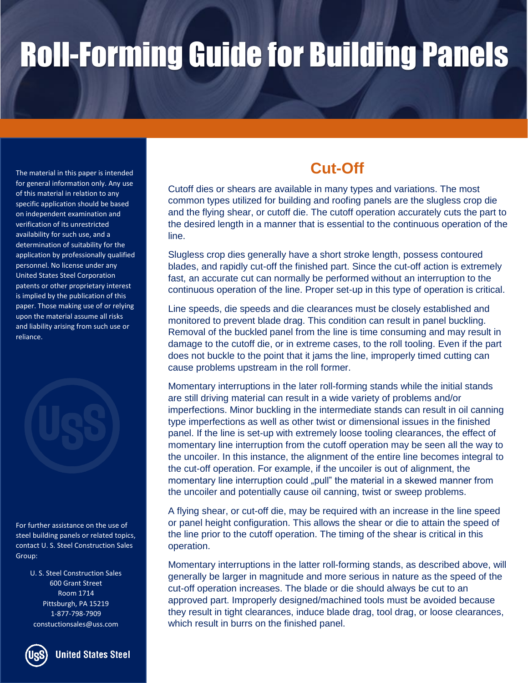The material in this paper is intended for general information only. Any use of this material in relation to any specific application should be based on independent examination and verification of its unrestricted availability for such use, and a determination of suitability for the application by professionally qualified personnel. No license under any United States Steel Corporation patents or other proprietary interest is implied by the publication of this paper. Those making use of or relying upon the material assume all risks and liability arising from such use or reliance.

For further assistance on the use of steel building panels or related topics, contact U. S. Steel Construction Sales Group:

> U. S. Steel Construction Sales 600 Grant Street Room 1714 Pittsburgh, PA 15219 1-877-798-7909 constuctionsales@uss.com



**United States Steel** 

## **Cut-Off**

Cutoff dies or shears are available in many types and variations. The most common types utilized for building and roofing panels are the slugless crop die and the flying shear, or cutoff die. The cutoff operation accurately cuts the part to the desired length in a manner that is essential to the continuous operation of the line.

Slugless crop dies generally have a short stroke length, possess contoured blades, and rapidly cut-off the finished part. Since the cut-off action is extremely fast, an accurate cut can normally be performed without an interruption to the continuous operation of the line. Proper set-up in this type of operation is critical.

Line speeds, die speeds and die clearances must be closely established and monitored to prevent blade drag. This condition can result in panel buckling. Removal of the buckled panel from the line is time consuming and may result in damage to the cutoff die, or in extreme cases, to the roll tooling. Even if the part does not buckle to the point that it jams the line, improperly timed cutting can cause problems upstream in the roll former.

Momentary interruptions in the later roll-forming stands while the initial stands are still driving material can result in a wide variety of problems and/or imperfections. Minor buckling in the intermediate stands can result in oil canning type imperfections as well as other twist or dimensional issues in the finished panel. If the line is set-up with extremely loose tooling clearances, the effect of momentary line interruption from the cutoff operation may be seen all the way to the uncoiler. In this instance, the alignment of the entire line becomes integral to the cut-off operation. For example, if the uncoiler is out of alignment, the momentary line interruption could "pull" the material in a skewed manner from the uncoiler and potentially cause oil canning, twist or sweep problems.

A flying shear, or cut-off die, may be required with an increase in the line speed or panel height configuration. This allows the shear or die to attain the speed of the line prior to the cutoff operation. The timing of the shear is critical in this operation.

Momentary interruptions in the latter roll-forming stands, as described above, will generally be larger in magnitude and more serious in nature as the speed of the cut-off operation increases. The blade or die should always be cut to an approved part. Improperly designed/machined tools must be avoided because they result in tight clearances, induce blade drag, tool drag, or loose clearances, which result in burrs on the finished panel.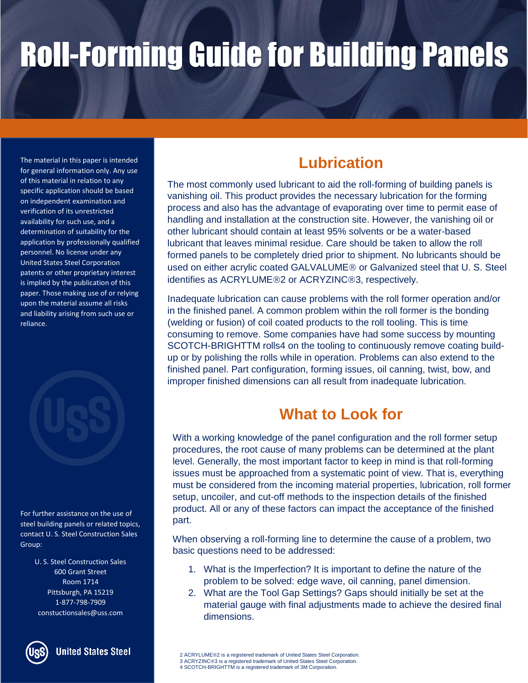The material in this paper is intended for general information only. Any use of this material in relation to any specific application should be based on independent examination and verification of its unrestricted availability for such use, and a determination of suitability for the application by professionally qualified personnel. No license under any United States Steel Corporation patents or other proprietary interest is implied by the publication of this paper. Those making use of or relying upon the material assume all risks and liability arising from such use or reliance.



For further assistance on the use of steel building panels or related topics, contact U. S. Steel Construction Sales Group:

> U. S. Steel Construction Sales 600 Grant Street Room 1714 Pittsburgh, PA 15219 1-877-798-7909 constuctionsales@uss.com



**United States Steel** 

## **Lubrication**

The most commonly used lubricant to aid the roll-forming of building panels is vanishing oil. This product provides the necessary lubrication for the forming process and also has the advantage of evaporating over time to permit ease of handling and installation at the construction site. However, the vanishing oil or other lubricant should contain at least 95% solvents or be a water-based lubricant that leaves minimal residue. Care should be taken to allow the roll formed panels to be completely dried prior to shipment. No lubricants should be used on either acrylic coated GALVALUME<sup>®</sup> or Galvanized steel that U. S. Steel identifies as ACRYLUME®2 or ACRYZINC®3, respectively.

Inadequate lubrication can cause problems with the roll former operation and/or in the finished panel. A common problem within the roll former is the bonding (welding or fusion) of coil coated products to the roll tooling. This is time consuming to remove. Some companies have had some success by mounting SCOTCH-BRIGHTTM rolls4 on the tooling to continuously remove coating buildup or by polishing the rolls while in operation. Problems can also extend to the finished panel. Part configuration, forming issues, oil canning, twist, bow, and improper finished dimensions can all result from inadequate lubrication.

### **What to Look for**

With a working knowledge of the panel configuration and the roll former setup procedures, the root cause of many problems can be determined at the plant level. Generally, the most important factor to keep in mind is that roll-forming issues must be approached from a systematic point of view. That is, everything must be considered from the incoming material properties, lubrication, roll former setup, uncoiler, and cut-off methods to the inspection details of the finished product. All or any of these factors can impact the acceptance of the finished part.

When observing a roll-forming line to determine the cause of a problem, two basic questions need to be addressed:

- 1. What is the Imperfection? It is important to define the nature of the problem to be solved: edge wave, oil canning, panel dimension.
- 2. What are the Tool Gap Settings? Gaps should initially be set at the material gauge with final adjustments made to achieve the desired final dimensions.

<sup>2</sup> ACRYLUME®2 is a registered trademark of United States Steel Corporation. 3 ACRYZINC®3 is a registered trademark of United States Steel Corporation. 4 SCOTCH-BRIGHTTM is a registered trademark of 3M Corporation.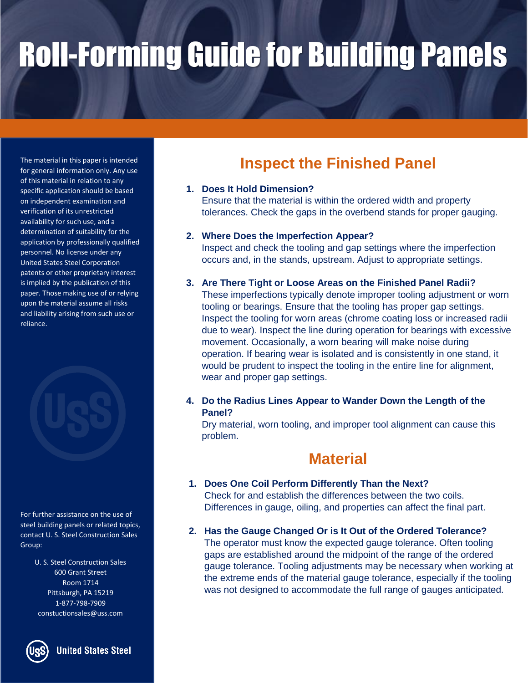The material in this paper is intended for general information only. Any use of this material in relation to any specific application should be based on independent examination and verification of its unrestricted availability for such use, and a determination of suitability for the application by professionally qualified personnel. No license under any United States Steel Corporation patents or other proprietary interest is implied by the publication of this paper. Those making use of or relying upon the material assume all risks and liability arising from such use or reliance.



For further assistance on the use of steel building panels or related topics, contact U. S. Steel Construction Sales Group:

> U. S. Steel Construction Sales 600 Grant Street Room 1714 Pittsburgh, PA 15219 1-877-798-7909 constuctionsales@uss.com

> > **United States Steel**

## **Inspect the Finished Panel**

### **1. Does It Hold Dimension?**

Ensure that the material is within the ordered width and property tolerances. Check the gaps in the overbend stands for proper gauging.

### **2. Where Does the Imperfection Appear?**

Inspect and check the tooling and gap settings where the imperfection occurs and, in the stands, upstream. Adjust to appropriate settings.

### **3. Are There Tight or Loose Areas on the Finished Panel Radii?**

These imperfections typically denote improper tooling adjustment or worn tooling or bearings. Ensure that the tooling has proper gap settings. Inspect the tooling for worn areas (chrome coating loss or increased radii due to wear). Inspect the line during operation for bearings with excessive movement. Occasionally, a worn bearing will make noise during operation. If bearing wear is isolated and is consistently in one stand, it would be prudent to inspect the tooling in the entire line for alignment, wear and proper gap settings.

### **4. Do the Radius Lines Appear to Wander Down the Length of the Panel?**

Dry material, worn tooling, and improper tool alignment can cause this problem.

### **Material**

- **1. Does One Coil Perform Differently Than the Next?**  Check for and establish the differences between the two coils. Differences in gauge, oiling, and properties can affect the final part.
- **2. Has the Gauge Changed Or is It Out of the Ordered Tolerance?**  The operator must know the expected gauge tolerance. Often tooling gaps are established around the midpoint of the range of the ordered gauge tolerance. Tooling adjustments may be necessary when working at the extreme ends of the material gauge tolerance, especially if the tooling was not designed to accommodate the full range of gauges anticipated.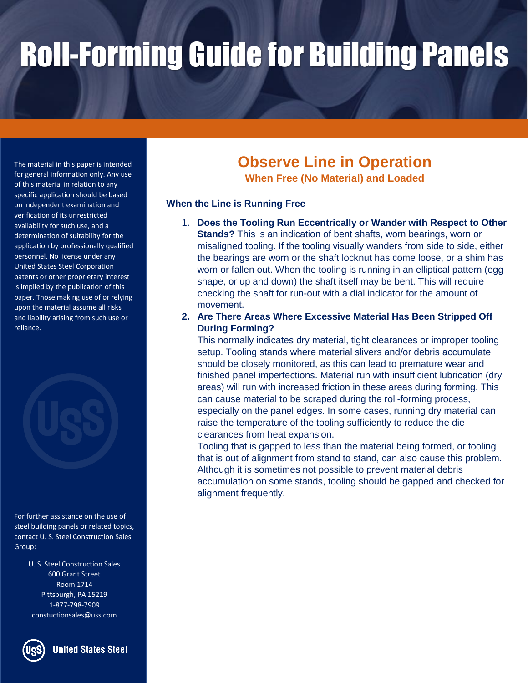The material in this paper is intended for general information only. Any use of this material in relation to any specific application should be based on independent examination and verification of its unrestricted availability for such use, and a determination of suitability for the application by professionally qualified personnel. No license under any United States Steel Corporation patents or other proprietary interest is implied by the publication of this paper. Those making use of or relying upon the material assume all risks and liability arising from such use or reliance.



For further assistance on the use of steel building panels or related topics, contact U. S. Steel Construction Sales Group:

> U. S. Steel Construction Sales 600 Grant Street Room 1714 Pittsburgh, PA 15219 1-877-798-7909 constuctionsales@uss.com



## **Observe Line in Operation**

**When Free (No Material) and Loaded**

### **When the Line is Running Free**

- 1. **Does the Tooling Run Eccentrically or Wander with Respect to Other Stands?** This is an indication of bent shafts, worn bearings, worn or misaligned tooling. If the tooling visually wanders from side to side, either the bearings are worn or the shaft locknut has come loose, or a shim has worn or fallen out. When the tooling is running in an elliptical pattern (egg shape, or up and down) the shaft itself may be bent. This will require checking the shaft for run-out with a dial indicator for the amount of movement.
- **2. Are There Areas Where Excessive Material Has Been Stripped Off During Forming?**

This normally indicates dry material, tight clearances or improper tooling setup. Tooling stands where material slivers and/or debris accumulate should be closely monitored, as this can lead to premature wear and finished panel imperfections. Material run with insufficient lubrication (dry areas) will run with increased friction in these areas during forming. This can cause material to be scraped during the roll-forming process, especially on the panel edges. In some cases, running dry material can raise the temperature of the tooling sufficiently to reduce the die clearances from heat expansion.

Tooling that is gapped to less than the material being formed, or tooling that is out of alignment from stand to stand, can also cause this problem. Although it is sometimes not possible to prevent material debris accumulation on some stands, tooling should be gapped and checked for alignment frequently.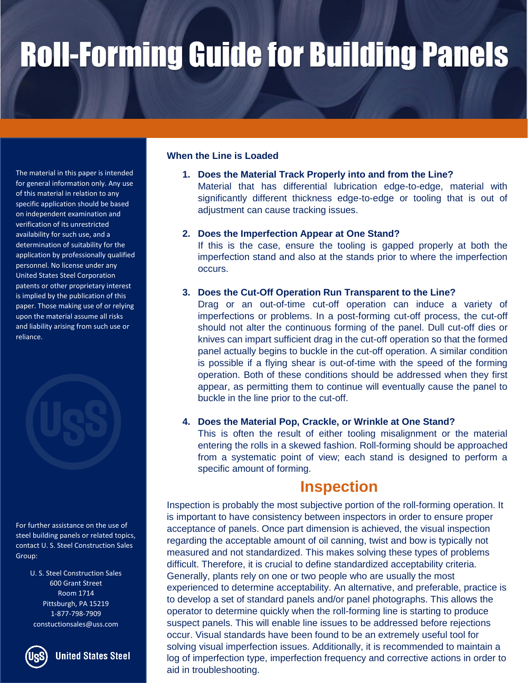The material in this paper is intended for general information only. Any use of this material in relation to any specific application should be based on independent examination and verification of its unrestricted availability for such use, and a determination of suitability for the application by professionally qualified personnel. No license under any United States Steel Corporation patents or other proprietary interest is implied by the publication of this paper. Those making use of or relying upon the material assume all risks and liability arising from such use or reliance.

For further assistance on the use of steel building panels or related topics, contact U. S. Steel Construction Sales Group:

> U. S. Steel Construction Sales 600 Grant Street Room 1714 Pittsburgh, PA 15219 1-877-798-7909 constuctionsales@uss.com

**United States Steel** 

#### **When the Line is Loaded**

**1. Does the Material Track Properly into and from the Line?** 

Material that has differential lubrication edge-to-edge, material with significantly different thickness edge-to-edge or tooling that is out of adjustment can cause tracking issues.

#### **2. Does the Imperfection Appear at One Stand?**

If this is the case, ensure the tooling is gapped properly at both the imperfection stand and also at the stands prior to where the imperfection occurs.

#### **3. Does the Cut-Off Operation Run Transparent to the Line?**

Drag or an out-of-time cut-off operation can induce a variety of imperfections or problems. In a post-forming cut-off process, the cut-off should not alter the continuous forming of the panel. Dull cut-off dies or knives can impart sufficient drag in the cut-off operation so that the formed panel actually begins to buckle in the cut-off operation. A similar condition is possible if a flying shear is out-of-time with the speed of the forming operation. Both of these conditions should be addressed when they first appear, as permitting them to continue will eventually cause the panel to buckle in the line prior to the cut-off.

#### **4. Does the Material Pop, Crackle, or Wrinkle at One Stand?**

This is often the result of either tooling misalignment or the material entering the rolls in a skewed fashion. Roll-forming should be approached from a systematic point of view; each stand is designed to perform a specific amount of forming.

### **Inspection**

Inspection is probably the most subjective portion of the roll-forming operation. It is important to have consistency between inspectors in order to ensure proper acceptance of panels. Once part dimension is achieved, the visual inspection regarding the acceptable amount of oil canning, twist and bow is typically not measured and not standardized. This makes solving these types of problems difficult. Therefore, it is crucial to define standardized acceptability criteria. Generally, plants rely on one or two people who are usually the most experienced to determine acceptability. An alternative, and preferable, practice is to develop a set of standard panels and/or panel photographs. This allows the operator to determine quickly when the roll-forming line is starting to produce suspect panels. This will enable line issues to be addressed before rejections occur. Visual standards have been found to be an extremely useful tool for solving visual imperfection issues. Additionally, it is recommended to maintain a log of imperfection type, imperfection frequency and corrective actions in order to aid in troubleshooting.